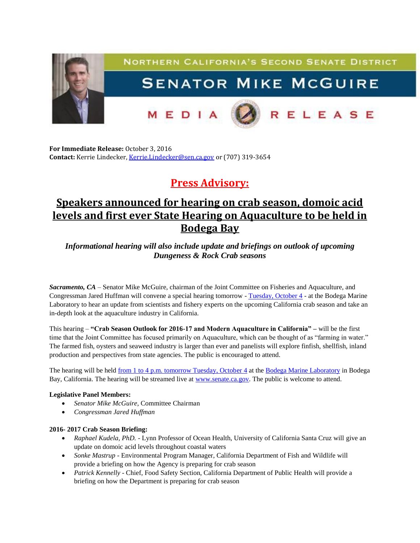

**For Immediate Release:** October 3, 2016 **Contact:** Kerrie Lindecker, [Kerrie.Lindecker@sen.ca.gov](mailto:Kerrie.Lindecker@sen.ca.gov) or (707) 319-3654

**Press Advisory:** 

# **Speakers announced for hearing on crab season, domoic acid levels and first ever State Hearing on Aquaculture to be held in Bodega Bay**

*Informational hearing will also include update and briefings on outlook of upcoming Dungeness & Rock Crab seasons*

*Sacramento, CA* – Senator Mike McGuire, chairman of the Joint Committee on Fisheries and Aquaculture, and Congressman Jared Huffman will convene a special hearing tomorrow - [Tuesday, October 4](x-apple-data-detectors://7/) - at the Bodega Marine Laboratory to hear an update from scientists and fishery experts on the upcoming California crab season and take an in-depth look at the aquaculture industry in California.

This hearing – **"Crab Season Outlook for 2016-17 and Modern Aquaculture in California" –** will be the first time that the Joint Committee has focused primarily on Aquaculture, which can be thought of as "farming in water." The farmed fish, oysters and seaweed industry is larger than ever and panelists will explore finfish, shellfish, inland production and perspectives from state agencies. The public is encouraged to attend.

The hearing will be held [from 1 to 4 p.m. tomorrow Tuesday, October 4](x-apple-data-detectors://9/) at the [Bodega Marine Laboratory](http://bml.ucdavis.edu/) in Bodega Bay, California. The hearing will be streamed live at [www.senate.ca.gov.](http://www.senate.ca.gov/) The public is welcome to attend.

# **Legislative Panel Members:**

- *Senator Mike McGuire*, Committee Chairman
- *Congressman Jared Huffman*

# **2016- 2017 Crab Season Briefing:**

- *Raphael Kudela, PhD.* Lynn Professor of Ocean Health, University of California Santa Cruz will give an update on domoic acid levels throughout coastal waters
- *Sonke Mastrup* Environmental Program Manager, California Department of Fish and Wildlife will provide a briefing on how the Agency is preparing for crab season
- *Patrick Kennelly* Chief, Food Safety Section, California Department of Public Health will provide a briefing on how the Department is preparing for crab season